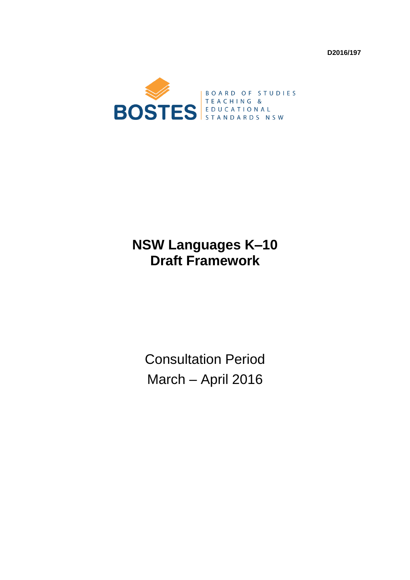**D2016/197** 



# **NSW Languages K–10 Draft Framework**

Consultation Period March – April 2016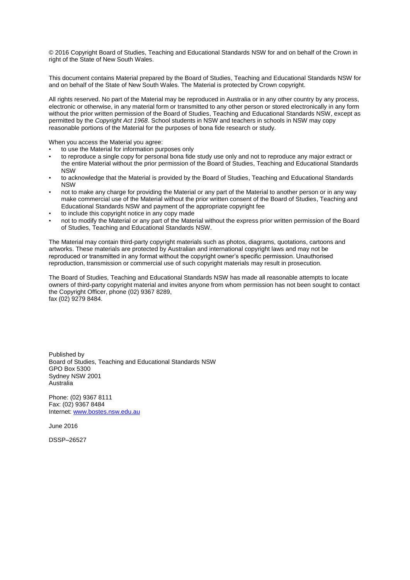© 2016 Copyright Board of Studies, Teaching and Educational Standards NSW for and on behalf of the Crown in right of the State of New South Wales.

This document contains Material prepared by the Board of Studies, Teaching and Educational Standards NSW for and on behalf of the State of New South Wales. The Material is protected by Crown copyright.

All rights reserved. No part of the Material may be reproduced in Australia or in any other country by any process, electronic or otherwise, in any material form or transmitted to any other person or stored electronically in any form without the prior written permission of the Board of Studies, Teaching and Educational Standards NSW, except as permitted by the *Copyright Act 1968*. School students in NSW and teachers in schools in NSW may copy reasonable portions of the Material for the purposes of bona fide research or study.

When you access the Material you agree:

- to use the Material for information purposes only
- to reproduce a single copy for personal bona fide study use only and not to reproduce any major extract or the entire Material without the prior permission of the Board of Studies, Teaching and Educational Standards NSW
- to acknowledge that the Material is provided by the Board of Studies, Teaching and Educational Standards **NSW**
- not to make any charge for providing the Material or any part of the Material to another person or in any way make commercial use of the Material without the prior written consent of the Board of Studies, Teaching and Educational Standards NSW and payment of the appropriate copyright fee
- to include this copyright notice in any copy made
- not to modify the Material or any part of the Material without the express prior written permission of the Board of Studies, Teaching and Educational Standards NSW.

The Material may contain third-party copyright materials such as photos, diagrams, quotations, cartoons and artworks. These materials are protected by Australian and international copyright laws and may not be reproduced or transmitted in any format without the copyright owner's specific permission. Unauthorised reproduction, transmission or commercial use of such copyright materials may result in prosecution.

The Board of Studies, Teaching and Educational Standards NSW has made all reasonable attempts to locate owners of third-party copyright material and invites anyone from whom permission has not been sought to contact the Copyright Officer, phone (02) 9367 8289, fax (02) 9279 8484.

Published by Board of Studies, Teaching and Educational Standards NSW GPO Box 5300 Sydney NSW 2001 Australia

Phone: (02) 9367 8111 Fax: (02) 9367 8484 Internet[: www.bostes.nsw.edu.au](http://www.bostes.nsw.edu.au/)

June 2016

DSSP–26527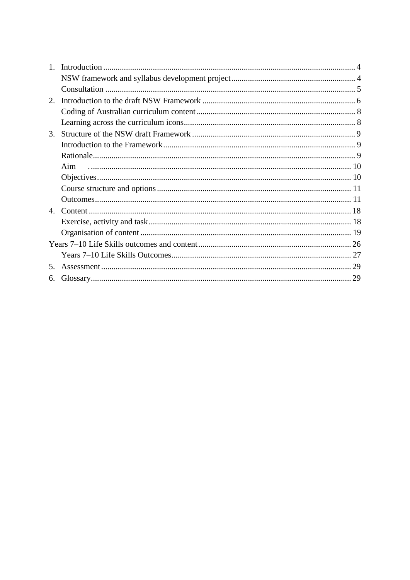| Aim |    |
|-----|----|
|     |    |
|     |    |
|     |    |
|     |    |
|     |    |
|     |    |
|     |    |
|     |    |
|     |    |
|     |    |
|     | 4. |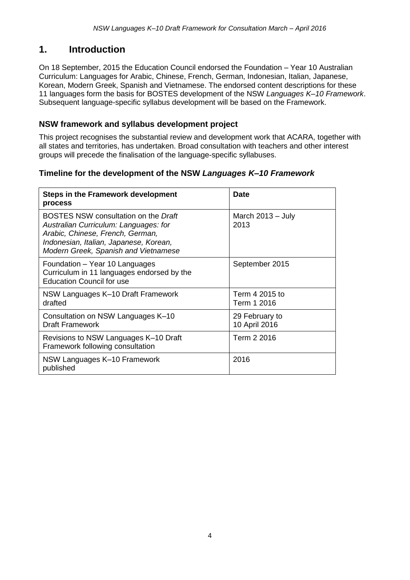### **1. Introduction**

On 18 September, 2015 the Education Council endorsed the Foundation – Year 10 Australian Curriculum: Languages for Arabic, Chinese, French, German, Indonesian, Italian, Japanese, Korean, Modern Greek, Spanish and Vietnamese. The endorsed content descriptions for these 11 languages form the basis for BOSTES development of the NSW *Languages K–10 Framework*. Subsequent language-specific syllabus development will be based on the Framework.

### **NSW framework and syllabus development project**

This project recognises the substantial review and development work that ACARA, together with all states and territories, has undertaken. Broad consultation with teachers and other interest groups will precede the finalisation of the language-specific syllabuses.

### **Timeline for the development of the NSW** *Languages K–10 Framework*

| <b>Steps in the Framework development</b><br>process                                                                                                                                                | <b>Date</b>                     |
|-----------------------------------------------------------------------------------------------------------------------------------------------------------------------------------------------------|---------------------------------|
| BOSTES NSW consultation on the Draft<br>Australian Curriculum: Languages: for<br>Arabic, Chinese, French, German,<br>Indonesian, Italian, Japanese, Korean,<br>Modern Greek, Spanish and Vietnamese | March $2013 - July$<br>2013     |
| Foundation – Year 10 Languages<br>Curriculum in 11 languages endorsed by the<br><b>Education Council for use</b>                                                                                    | September 2015                  |
| NSW Languages K-10 Draft Framework<br>drafted                                                                                                                                                       | Term 4 2015 to<br>Term 1 2016   |
| Consultation on NSW Languages K-10<br><b>Draft Framework</b>                                                                                                                                        | 29 February to<br>10 April 2016 |
| Revisions to NSW Languages K-10 Draft<br>Framework following consultation                                                                                                                           | Term 2 2016                     |
| NSW Languages K-10 Framework<br>published                                                                                                                                                           | 2016                            |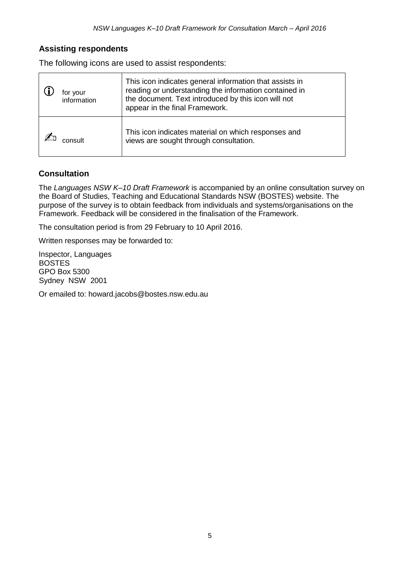### **Assisting respondents**

The following icons are used to assist respondents:

| for your<br>information | This icon indicates general information that assists in<br>reading or understanding the information contained in<br>the document. Text introduced by this icon will not<br>appear in the final Framework. |
|-------------------------|-----------------------------------------------------------------------------------------------------------------------------------------------------------------------------------------------------------|
|                         | This icon indicates material on which responses and<br>views are sought through consultation.                                                                                                             |

### **Consultation**

The *Languages NSW K–10 Draft Framework* is accompanied by an online consultation survey on the Board of Studies, Teaching and Educational Standards NSW (BOSTES) website. The purpose of the survey is to obtain feedback from individuals and systems/organisations on the Framework. Feedback will be considered in the finalisation of the Framework.

The consultation period is from 29 February to 10 April 2016.

Written responses may be forwarded to:

Inspector, Languages BOSTES GPO Box 5300 Sydney NSW 2001

Or emailed to: howard.jacobs@bostes.nsw.edu.au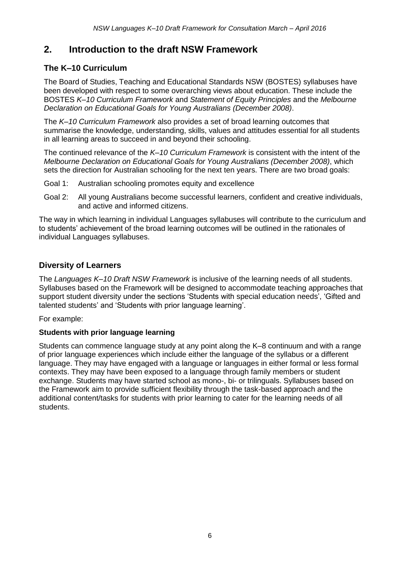### **2. Introduction to the draft NSW Framework**

### **The K–10 Curriculum**

The Board of Studies, Teaching and Educational Standards NSW (BOSTES) syllabuses have been developed with respect to some overarching views about education. These include the BOSTES *K–10 Curriculum Framework* and *Statement of Equity Principles* and the *Melbourne Declaration on Educational Goals for Young Australians (December 2008)*.

The *K–10 Curriculum Framework* also provides a set of broad learning outcomes that summarise the knowledge, understanding, skills, values and attitudes essential for all students in all learning areas to succeed in and beyond their schooling.

The continued relevance of the *K–10 Curriculum Framework* is consistent with the intent of the *Melbourne Declaration on Educational Goals for Young Australians (December 2008)*, which sets the direction for Australian schooling for the next ten years. There are two broad goals:

- Goal 1: Australian schooling promotes equity and excellence
- Goal 2: All young Australians become successful learners, confident and creative individuals, and active and informed citizens.

The way in which learning in individual Languages syllabuses will contribute to the curriculum and to students' achievement of the broad learning outcomes will be outlined in the rationales of individual Languages syllabuses.

### **Diversity of Learners**

The *Languages K–10 Draft NSW Framework* is inclusive of the learning needs of all students. Syllabuses based on the Framework will be designed to accommodate teaching approaches that support student diversity under the sections 'Students with special education needs', 'Gifted and talented students' and 'Students with prior language learning'.

For example:

#### **Students with prior language learning**

Students can commence language study at any point along the K–8 continuum and with a range of prior language experiences which include either the language of the syllabus or a different language. They may have engaged with a language or languages in either formal or less formal contexts. They may have been exposed to a language through family members or student exchange. Students may have started school as mono-, bi- or trilinguals. Syllabuses based on the Framework aim to provide sufficient flexibility through the task-based approach and the additional content/tasks for students with prior learning to cater for the learning needs of all students.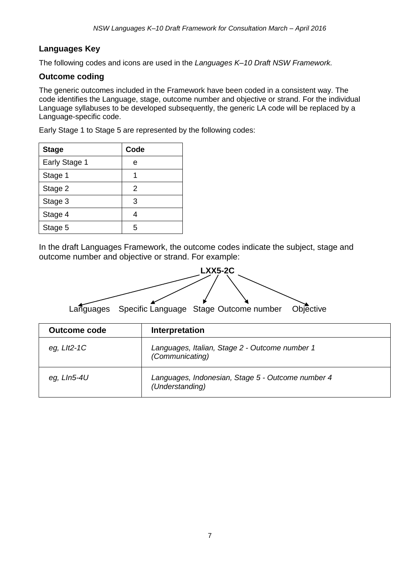### **Languages Key**

The following codes and icons are used in the *Languages K–10 Draft NSW Framework.*

### **Outcome coding**

The generic outcomes included in the Framework have been coded in a consistent way. The code identifies the Language, stage, outcome number and objective or strand. For the individual Language syllabuses to be developed subsequently, the generic LA code will be replaced by a Language-specific code.

Early Stage 1 to Stage 5 are represented by the following codes:

| <b>Stage</b>  | Code |
|---------------|------|
| Early Stage 1 | е    |
| Stage 1       |      |
| Stage 2       | 2    |
| Stage 3       | 3    |
| Stage 4       | 4    |
| Stage 5       | 5    |

In the draft Languages Framework, the outcome codes indicate the subject, stage and outcome number and objective or strand. For example:



| <b>Outcome code</b> | Interpretation                                                       |
|---------------------|----------------------------------------------------------------------|
| eg, $Llt2-1C$       | Languages, Italian, Stage 2 - Outcome number 1<br>(Communicating)    |
| eg, Lln5-4U         | Languages, Indonesian, Stage 5 - Outcome number 4<br>(Understanding) |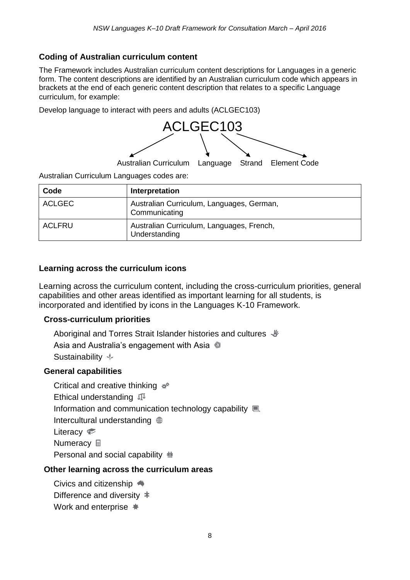### **Coding of Australian curriculum content**

The Framework includes Australian curriculum content descriptions for Languages in a generic form. The content descriptions are identified by an Australian curriculum code which appears in brackets at the end of each generic content description that relates to a specific Language curriculum, for example:

Develop language to interact with peers and adults (ACLGEC103)



Australian Curriculum Languages codes are:

| Code          | Interpretation                                             |
|---------------|------------------------------------------------------------|
| <b>ACLGEC</b> | Australian Curriculum, Languages, German,<br>Communicating |
| <b>ACLFRU</b> | Australian Curriculum, Languages, French,<br>Understanding |

### **Learning across the curriculum icons**

Learning across the curriculum content, including the cross-curriculum priorities, general capabilities and other areas identified as important learning for all students, is incorporated and identified by icons in the Languages K-10 Framework.

#### **Cross-curriculum priorities**

Aboriginal and Torres Strait Islander histories and cultures  $\psi$ Asia and Australia's engagement with Asia Sustainability  $\psi$ 

#### **General capabilities**

Critical and creative thinking  $*$ Ethical understanding  $\mathbb{I}^{\mathbb{Z}}$ Information and communication technology capability Intercultural understanding Literacy  $\approx$ **Numeracy** <sub>■</sub> Personal and social capability  $\dot{\mathbb{m}}$ 

### **Other learning across the curriculum areas**

Civics and citizenship Difference and diversity 丰 Work and enterprise  $\clubsuit$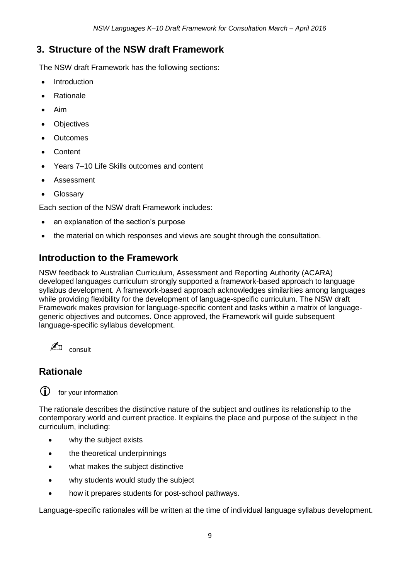### **3. Structure of the NSW draft Framework**

The NSW draft Framework has the following sections:

- Introduction
- Rationale
- Aim
- **Objectives**
- **Outcomes**
- Content
- Years 7–10 Life Skills outcomes and content
- Assessment
- Glossary

Each section of the NSW draft Framework includes:

- an explanation of the section's purpose
- the material on which responses and views are sought through the consultation.

### **Introduction to the Framework**

NSW feedback to Australian Curriculum, Assessment and Reporting Authority (ACARA) developed languages curriculum strongly supported a framework-based approach to language syllabus development. A framework-based approach acknowledges similarities among languages while providing flexibility for the development of language-specific curriculum. The NSW draft Framework makes provision for language-specific content and tasks within a matrix of languagegeneric objectives and outcomes. Once approved, the Framework will guide subsequent language-specific syllabus development.



## **Rationale**



(i) for your information

The rationale describes the distinctive nature of the subject and outlines its relationship to the contemporary world and current practice. It explains the place and purpose of the subject in the curriculum, including:

- why the subject exists
- the theoretical underpinnings
- what makes the subject distinctive
- why students would study the subject
- how it prepares students for post-school pathways.

Language-specific rationales will be written at the time of individual language syllabus development.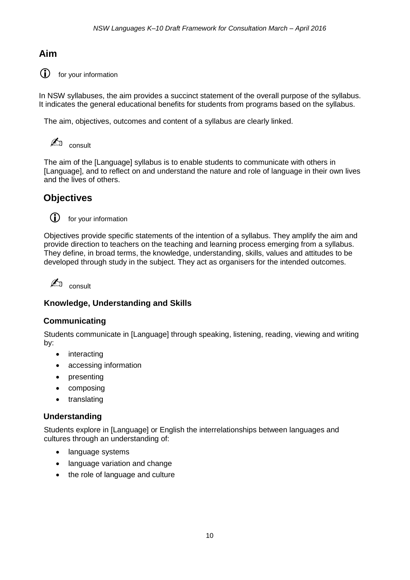### **Aim**

**i** for your information

In NSW syllabuses, the aim provides a succinct statement of the overall purpose of the syllabus. It indicates the general educational benefits for students from programs based on the syllabus.

The aim, objectives, outcomes and content of a syllabus are clearly linked.

✍ consult

The aim of the [Language] syllabus is to enable students to communicate with others in [Language], and to reflect on and understand the nature and role of language in their own lives and the lives of others.

### **Objectives**



for your information

Objectives provide specific statements of the intention of a syllabus. They amplify the aim and provide direction to teachers on the teaching and learning process emerging from a syllabus. They define, in broad terms, the knowledge, understanding, skills, values and attitudes to be developed through study in the subject. They act as organisers for the intended outcomes.

 $\mathbb{Z}$ <sup>D</sup> consult

### **Knowledge, Understanding and Skills**

#### **Communicating**

Students communicate in [Language] through speaking, listening, reading, viewing and writing by:

- interacting
- accessing information
- presenting
- composing
- translating

#### **Understanding**

Students explore in [Language] or English the interrelationships between languages and cultures through an understanding of:

- language systems
- language variation and change
- the role of language and culture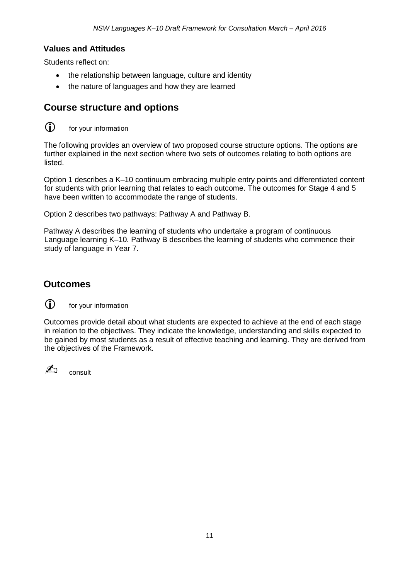#### **Values and Attitudes**

Students reflect on:

- the relationship between language, culture and identity
- the nature of languages and how they are learned

### **Course structure and options**

 $\circled{1}$  for your information

The following provides an overview of two proposed course structure options. The options are further explained in the next section where two sets of outcomes relating to both options are listed.

Option 1 describes a K–10 continuum embracing multiple entry points and differentiated content for students with prior learning that relates to each outcome. The outcomes for Stage 4 and 5 have been written to accommodate the range of students.

Option 2 describes two pathways: Pathway A and Pathway B.

Pathway A describes the learning of students who undertake a program of continuous Language learning K–10. Pathway B describes the learning of students who commence their study of language in Year 7.

### **Outcomes**



for your information

Outcomes provide detail about what students are expected to achieve at the end of each stage in relation to the objectives. They indicate the knowledge, understanding and skills expected to be gained by most students as a result of effective teaching and learning. They are derived from the objectives of the Framework.

 $\mathbb{Z}$  consult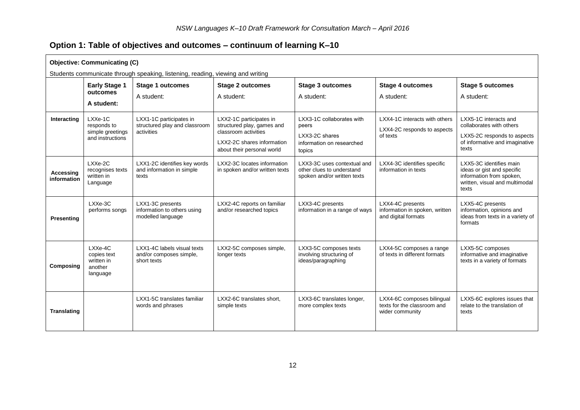### **Option 1: Table of objectives and outcomes – continuum of learning K–10**

| <b>Objective: Communicating (C)</b> |                                                                                |                                                                        |                                                                                                                                           |                                                                                             |                                                                              |                                                                                                                              |
|-------------------------------------|--------------------------------------------------------------------------------|------------------------------------------------------------------------|-------------------------------------------------------------------------------------------------------------------------------------------|---------------------------------------------------------------------------------------------|------------------------------------------------------------------------------|------------------------------------------------------------------------------------------------------------------------------|
|                                     | Students communicate through speaking, listening, reading, viewing and writing |                                                                        |                                                                                                                                           |                                                                                             |                                                                              |                                                                                                                              |
|                                     | <b>Early Stage 1</b>                                                           | <b>Stage 1 outcomes</b>                                                | <b>Stage 2 outcomes</b>                                                                                                                   | <b>Stage 3 outcomes</b>                                                                     | <b>Stage 4 outcomes</b>                                                      | <b>Stage 5 outcomes</b>                                                                                                      |
|                                     | outcomes                                                                       | A student:                                                             | A student:                                                                                                                                | A student:                                                                                  | A student:                                                                   | A student:                                                                                                                   |
|                                     | A student:                                                                     |                                                                        |                                                                                                                                           |                                                                                             |                                                                              |                                                                                                                              |
| Interacting                         | LXXe-1C<br>responds to<br>simple greetings<br>and instructions                 | LXX1-1C participates in<br>structured play and classroom<br>activities | LXX2-1C participates in<br>structured play, games and<br>classroom activities<br>LXX2-2C shares information<br>about their personal world | LXX3-1C collaborates with<br>peers<br>LXX3-2C shares<br>information on researched<br>topics | LXX4-1C interacts with others<br>LXX4-2C responds to aspects<br>of texts     | LXX5-1C interacts and<br>collaborates with others<br>LXX5-2C responds to aspects<br>of informative and imaginative<br>texts  |
| <b>Accessing</b><br>information     | LXXe-2C<br>recognises texts<br>written in<br>Language                          | LXX1-2C identifies key words<br>and information in simple<br>texts     | LXX2-3C locates information<br>in spoken and/or written texts                                                                             | LXX3-3C uses contextual and<br>other clues to understand<br>spoken and/or written texts     | LXX4-3C identifies specific<br>information in texts                          | LXX5-3C identifies main<br>ideas or gist and specific<br>information from spoken,<br>written, visual and multimodal<br>texts |
| Presenting                          | LXXe-3C<br>performs songs                                                      | LXX1-3C presents<br>information to others using<br>modelled language   | LXX2-4C reports on familiar<br>and/or researched topics                                                                                   | LXX3-4C presents<br>information in a range of ways                                          | LXX4-4C presents<br>information in spoken, written<br>and digital formats    | LXX5-4C presents<br>information, opinions and<br>ideas from texts in a variety of<br>formats                                 |
| Composing                           | LXXe-4C<br>copies text<br>written in<br>another<br>language                    | LXX1-4C labels visual texts<br>and/or composes simple.<br>short texts  | LXX2-5C composes simple,<br>longer texts                                                                                                  | LXX3-5C composes texts<br>involving structuring of<br>ideas/paragraphing                    | LXX4-5C composes a range<br>of texts in different formats                    | LXX5-5C composes<br>informative and imaginative<br>texts in a variety of formats                                             |
| <b>Translating</b>                  |                                                                                | LXX1-5C translates familiar<br>words and phrases                       | LXX2-6C translates short,<br>simple texts                                                                                                 | LXX3-6C translates longer,<br>more complex texts                                            | LXX4-6C composes bilingual<br>texts for the classroom and<br>wider community | LXX5-6C explores issues that<br>relate to the translation of<br>texts                                                        |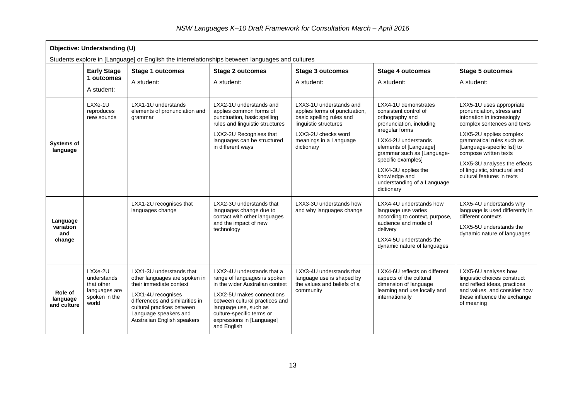| Objective: Understanding (U)<br>Students explore in [Language] or English the interrelationships between languages and cultures |                                                                                 |                                                                                                                                                                                                                                     |                                                                                                                                                                                                                                                                |                                                                                                                                                                              |                                                                                                                                                                                                                                                                                                           |                                                                                                                                                                                                                                                                                                                                   |
|---------------------------------------------------------------------------------------------------------------------------------|---------------------------------------------------------------------------------|-------------------------------------------------------------------------------------------------------------------------------------------------------------------------------------------------------------------------------------|----------------------------------------------------------------------------------------------------------------------------------------------------------------------------------------------------------------------------------------------------------------|------------------------------------------------------------------------------------------------------------------------------------------------------------------------------|-----------------------------------------------------------------------------------------------------------------------------------------------------------------------------------------------------------------------------------------------------------------------------------------------------------|-----------------------------------------------------------------------------------------------------------------------------------------------------------------------------------------------------------------------------------------------------------------------------------------------------------------------------------|
|                                                                                                                                 | <b>Early Stage</b><br>1 outcomes<br>A student:                                  | <b>Stage 1 outcomes</b><br>A student:                                                                                                                                                                                               | <b>Stage 2 outcomes</b><br>A student:                                                                                                                                                                                                                          | <b>Stage 3 outcomes</b><br>A student:                                                                                                                                        | <b>Stage 4 outcomes</b><br>A student:                                                                                                                                                                                                                                                                     | <b>Stage 5 outcomes</b><br>A student:                                                                                                                                                                                                                                                                                             |
| <b>Systems of</b><br>language                                                                                                   | LXXe-1U<br>reproduces<br>new sounds                                             | LXX1-1U understands<br>elements of pronunciation and<br>grammar                                                                                                                                                                     | LXX2-1U understands and<br>applies common forms of<br>punctuation, basic spelling<br>rules and linguistic structures<br>LXX2-2U Recognises that<br>languages can be structured<br>in different ways                                                            | LXX3-1U understands and<br>applies forms of punctuation,<br>basic spelling rules and<br>linguistic structures<br>LXX3-2U checks word<br>meanings in a Language<br>dictionary | LXX4-1U demonstrates<br>consistent control of<br>orthography and<br>pronunciation, including<br>irregular forms<br>LXX4-2U understands<br>elements of [Language]<br>grammar such as [Language-<br>specific examples]<br>LXX4-3U applies the<br>knowledge and<br>understanding of a Language<br>dictionary | LXX5-1U uses appropriate<br>pronunciation, stress and<br>intonation in increasingly<br>complex sentences and texts<br>LXX5-2U applies complex<br>grammatical rules such as<br>[Language-specific list] to<br>compose written texts<br>LXX5-3U analyses the effects<br>of linguistic, structural and<br>cultural features in texts |
| Language<br>variation<br>and<br>change                                                                                          |                                                                                 | LXX1-2U recognises that<br>languages change                                                                                                                                                                                         | LXX2-3U understands that<br>languages change due to<br>contact with other languages<br>and the impact of new<br>technology                                                                                                                                     | LXX3-3U understands how<br>and why languages change                                                                                                                          | LXX4-4U understands how<br>language use varies<br>according to context, purpose,<br>audience and mode of<br>delivery<br>LXX4-5U understands the<br>dynamic nature of languages                                                                                                                            | LXX5-4U understands why<br>language is used differently in<br>different contexts<br>LXX5-5U understands the<br>dynamic nature of languages                                                                                                                                                                                        |
| Role of<br>language<br>and culture                                                                                              | LXXe-2U<br>understands<br>that other<br>languages are<br>spoken in the<br>world | LXX1-3U understands that<br>other languages are spoken in<br>their immediate context<br>LXX1-4U recognises<br>differences and similarities in<br>cultural practices between<br>Language speakers and<br>Australian English speakers | LXX2-4U understands that a<br>range of languages is spoken<br>in the wider Australian context<br>LXX2-5U makes connections<br>between cultural practices and<br>language use, such as<br>culture-specific terms or<br>expressions in [Language]<br>and English | LXX3-4U understands that<br>language use is shaped by<br>the values and beliefs of a<br>community                                                                            | LXX4-6U reflects on different<br>aspects of the cultural<br>dimension of language<br>learning and use locally and<br>internationally                                                                                                                                                                      | LXX5-6U analyses how<br>linguistic choices construct<br>and reflect ideas, practices<br>and values, and consider how<br>these influence the exchange<br>of meaning                                                                                                                                                                |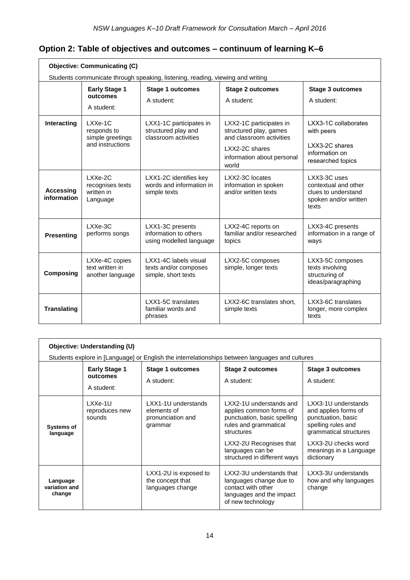### **Option 2: Table of objectives and outcomes – continuum of learning K–6**

| <b>Objective: Communicating (C)</b> |                                                                                |                                                                        |                                                                               |                                                                                               |  |  |
|-------------------------------------|--------------------------------------------------------------------------------|------------------------------------------------------------------------|-------------------------------------------------------------------------------|-----------------------------------------------------------------------------------------------|--|--|
|                                     | Students communicate through speaking, listening, reading, viewing and writing |                                                                        |                                                                               |                                                                                               |  |  |
|                                     | <b>Early Stage 1</b>                                                           | <b>Stage 1 outcomes</b>                                                | <b>Stage 2 outcomes</b>                                                       | <b>Stage 3 outcomes</b>                                                                       |  |  |
|                                     | outcomes<br>A student:                                                         | A student:                                                             | A student:                                                                    | A student:                                                                                    |  |  |
| Interacting                         | $LXXe-1C$<br>responds to<br>simple greetings                                   | LXX1-1C participates in<br>structured play and<br>classroom activities | LXX2-1C participates in<br>structured play, games<br>and classroom activities | LXX3-1C collaborates<br>with peers                                                            |  |  |
|                                     | and instructions                                                               |                                                                        | LXX2-2C shares<br>information about personal<br>world                         | LXX3-2C shares<br>information on<br>researched topics                                         |  |  |
| <b>Accessing</b><br>information     | LXXe-2C<br>recognises texts<br>written in<br>Language                          | LXX1-2C identifies key<br>words and information in<br>simple texts     | LXX2-3C locates<br>information in spoken<br>and/or written texts              | LXX3-3C uses<br>contextual and other<br>clues to understand<br>spoken and/or written<br>texts |  |  |
| <b>Presenting</b>                   | $LXXe-3C$<br>performs songs                                                    | LXX1-3C presents<br>information to others<br>using modelled language   | LXX2-4C reports on<br>familiar and/or researched<br>topics                    | LXX3-4C presents<br>information in a range of<br>ways                                         |  |  |
| Composing                           | LXXe-4C copies<br>text written in<br>another language                          | LXX1-4C labels visual<br>texts and/or composes<br>simple, short texts  | LXX2-5C composes<br>simple, longer texts                                      | LXX3-5C composes<br>texts involving<br>structuring of<br>ideas/paragraphing                   |  |  |
| <b>Translating</b>                  |                                                                                | LXX1-5C translates<br>familiar words and<br>phrases                    | LXX2-6C translates short.<br>simple texts                                     | LXX3-6C translates<br>longer, more complex<br>texts                                           |  |  |

| Objective: Understanding (U)        |                                                                                                 |                                                                    |                                                                                                                            |                                                                                                                   |  |  |
|-------------------------------------|-------------------------------------------------------------------------------------------------|--------------------------------------------------------------------|----------------------------------------------------------------------------------------------------------------------------|-------------------------------------------------------------------------------------------------------------------|--|--|
|                                     | Students explore in [Language] or English the interrelationships between languages and cultures |                                                                    |                                                                                                                            |                                                                                                                   |  |  |
|                                     | <b>Early Stage 1</b><br>outcomes<br>A student:                                                  | Stage 1 outcomes<br>A student:                                     | Stage 2 outcomes<br>A student:                                                                                             | Stage 3 outcomes<br>A student:                                                                                    |  |  |
| <b>Systems of</b><br>language       | $LXXe-1U$<br>reproduces new<br>sounds                                                           | LXX1-1U understands<br>elements of<br>pronunciation and<br>grammar | LXX2-1U understands and<br>applies common forms of<br>punctuation, basic spelling<br>rules and grammatical<br>structures   | LXX3-1U understands<br>and applies forms of<br>punctuation, basic<br>spelling rules and<br>grammatical structures |  |  |
|                                     |                                                                                                 |                                                                    | LXX2-2U Recognises that<br>languages can be<br>structured in different ways                                                | LXX3-2U checks word<br>meanings in a Language<br>dictionary                                                       |  |  |
| Language<br>variation and<br>change |                                                                                                 | LXX1-2U is exposed to<br>the concept that<br>languages change      | LXX2-3U understands that<br>languages change due to<br>contact with other<br>languages and the impact<br>of new technology | LXX3-3U understands<br>how and why languages<br>change                                                            |  |  |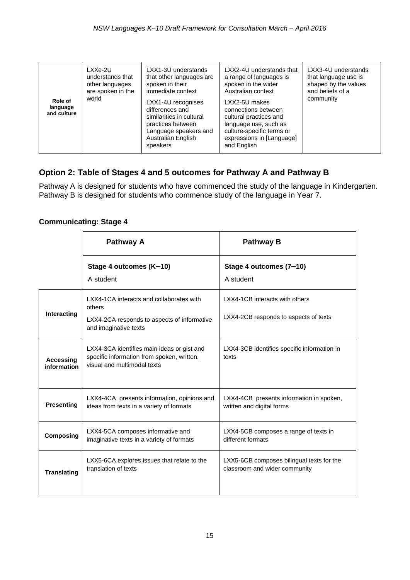| Role of<br>language<br>and culture | LXXe-2U<br>understands that<br>other languages<br>are spoken in the<br>world | LXX1-3U understands<br>that other languages are<br>spoken in their<br>immediate context<br>LXX1-4U recognises<br>differences and<br>similarities in cultural<br>practices between<br>Language speakers and<br>Australian English<br>speakers | LXX2-4U understands that<br>a range of languages is<br>spoken in the wider<br>Australian context<br>LXX2-5U makes<br>connections between<br>cultural practices and<br>language use, such as<br>culture-specific terms or<br>expressions in [Language]<br>and English | LXX3-4U understands<br>that language use is<br>shaped by the values<br>and beliefs of a<br>community |
|------------------------------------|------------------------------------------------------------------------------|----------------------------------------------------------------------------------------------------------------------------------------------------------------------------------------------------------------------------------------------|----------------------------------------------------------------------------------------------------------------------------------------------------------------------------------------------------------------------------------------------------------------------|------------------------------------------------------------------------------------------------------|
|------------------------------------|------------------------------------------------------------------------------|----------------------------------------------------------------------------------------------------------------------------------------------------------------------------------------------------------------------------------------------|----------------------------------------------------------------------------------------------------------------------------------------------------------------------------------------------------------------------------------------------------------------------|------------------------------------------------------------------------------------------------------|

### **Option 2: Table of Stages 4 and 5 outcomes for Pathway A and Pathway B**

Pathway A is designed for students who have commenced the study of the language in Kindergarten. Pathway B is designed for students who commence study of the language in Year 7.

#### **Communicating: Stage 4**

|                                 | Pathway A                                                                                                                  | <b>Pathway B</b>                                                           |
|---------------------------------|----------------------------------------------------------------------------------------------------------------------------|----------------------------------------------------------------------------|
|                                 | Stage 4 outcomes (K-10)<br>A student                                                                                       | Stage 4 outcomes (7-10)<br>A student                                       |
| Interacting                     | LXX4-1CA interacts and collaborates with<br>others<br>LXX4-2CA responds to aspects of informative<br>and imaginative texts | LXX4-1CB interacts with others<br>LXX4-2CB responds to aspects of texts    |
| <b>Accessing</b><br>information | LXX4-3CA identifies main ideas or gist and<br>specific information from spoken, written,<br>visual and multimodal texts    | LXX4-3CB identifies specific information in<br>texts                       |
| <b>Presenting</b>               | LXX4-4CA presents information, opinions and<br>ideas from texts in a variety of formats                                    | LXX4-4CB presents information in spoken,<br>written and digital forms      |
| Composing                       | LXX4-5CA composes informative and<br>imaginative texts in a variety of formats                                             | LXX4-5CB composes a range of texts in<br>different formats                 |
| <b>Translating</b>              | LXX5-6CA explores issues that relate to the<br>translation of texts                                                        | LXX5-6CB composes bilingual texts for the<br>classroom and wider community |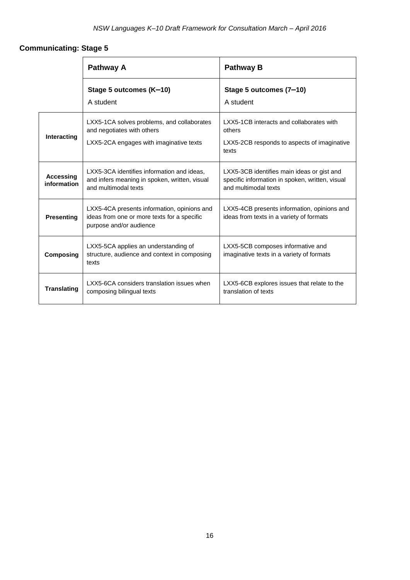### **Communicating: Stage 5**

|                          | Pathway A                                                                                                             | <b>Pathway B</b>                                                                                                      |  |
|--------------------------|-----------------------------------------------------------------------------------------------------------------------|-----------------------------------------------------------------------------------------------------------------------|--|
|                          | Stage 5 outcomes (K-10)<br>A student                                                                                  | Stage 5 outcomes (7-10)<br>A student                                                                                  |  |
| Interacting              | LXX5-1CA solves problems, and collaborates<br>and negotiates with others<br>LXX5-2CA engages with imaginative texts   | LXX5-1CB interacts and collaborates with<br>others<br>LXX5-2CB responds to aspects of imaginative<br>texts            |  |
| Accessing<br>information | LXX5-3CA identifies information and ideas,<br>and infers meaning in spoken, written, visual<br>and multimodal texts   | LXX5-3CB identifies main ideas or gist and<br>specific information in spoken, written, visual<br>and multimodal texts |  |
| <b>Presenting</b>        | LXX5-4CA presents information, opinions and<br>ideas from one or more texts for a specific<br>purpose and/or audience | LXX5-4CB presents information, opinions and<br>ideas from texts in a variety of formats                               |  |
| <b>Composing</b>         | LXX5-5CA applies an understanding of<br>structure, audience and context in composing<br>texts                         | LXX5-5CB composes informative and<br>imaginative texts in a variety of formats                                        |  |
| <b>Translating</b>       | LXX5-6CA considers translation issues when<br>composing bilingual texts                                               | LXX5-6CB explores issues that relate to the<br>translation of texts                                                   |  |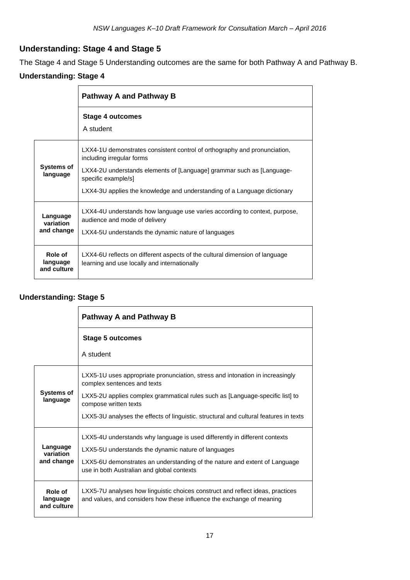### **Understanding: Stage 4 and Stage 5**

The Stage 4 and Stage 5 Understanding outcomes are the same for both Pathway A and Pathway B.

### **Understanding: Stage 4**

|                                     | Pathway A and Pathway B                                                                                                                                                                                                                                                            |  |  |
|-------------------------------------|------------------------------------------------------------------------------------------------------------------------------------------------------------------------------------------------------------------------------------------------------------------------------------|--|--|
|                                     | Stage 4 outcomes<br>A student                                                                                                                                                                                                                                                      |  |  |
| <b>Systems of</b><br>language       | LXX4-1U demonstrates consistent control of orthography and pronunciation,<br>including irregular forms<br>LXX4-2U understands elements of [Language] grammar such as [Language-<br>specific example/s]<br>LXX4-3U applies the knowledge and understanding of a Language dictionary |  |  |
| Language<br>variation<br>and change | LXX4-4U understands how language use varies according to context, purpose,<br>audience and mode of delivery<br>LXX4-5U understands the dynamic nature of languages                                                                                                                 |  |  |
| Role of<br>language<br>and culture  | LXX4-6U reflects on different aspects of the cultural dimension of language<br>learning and use locally and internationally                                                                                                                                                        |  |  |

#### **Understanding: Stage 5**

|                                     | Pathway A and Pathway B                                                                                                                                 |  |  |
|-------------------------------------|---------------------------------------------------------------------------------------------------------------------------------------------------------|--|--|
|                                     | Stage 5 outcomes<br>A student                                                                                                                           |  |  |
|                                     |                                                                                                                                                         |  |  |
| <b>Systems of</b><br>language       | LXX5-1U uses appropriate pronunciation, stress and intonation in increasingly<br>complex sentences and texts                                            |  |  |
|                                     | LXX5-2U applies complex grammatical rules such as [Language-specific list] to<br>compose written texts                                                  |  |  |
|                                     | LXX5-3U analyses the effects of linguistic. structural and cultural features in texts                                                                   |  |  |
| Language<br>variation<br>and change | LXX5-4U understands why language is used differently in different contexts                                                                              |  |  |
|                                     | LXX5-5U understands the dynamic nature of languages                                                                                                     |  |  |
|                                     | LXX5-6U demonstrates an understanding of the nature and extent of Language<br>use in both Australian and global contexts                                |  |  |
| Role of<br>language<br>and culture  | LXX5-7U analyses how linguistic choices construct and reflect ideas, practices<br>and values, and considers how these influence the exchange of meaning |  |  |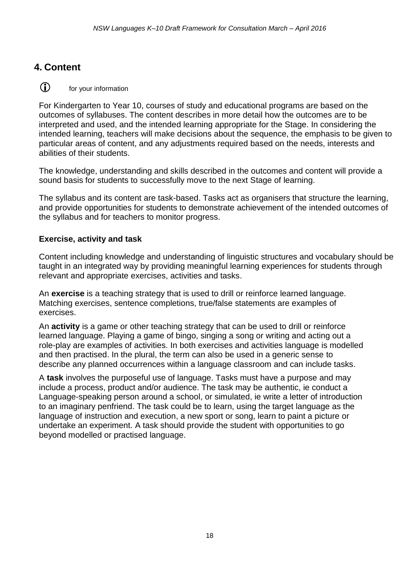### **4. Content**



For Kindergarten to Year 10, courses of study and educational programs are based on the outcomes of syllabuses. The content describes in more detail how the outcomes are to be interpreted and used, and the intended learning appropriate for the Stage. In considering the intended learning, teachers will make decisions about the sequence, the emphasis to be given to particular areas of content, and any adjustments required based on the needs, interests and abilities of their students.

The knowledge, understanding and skills described in the outcomes and content will provide a sound basis for students to successfully move to the next Stage of learning.

The syllabus and its content are task-based. Tasks act as organisers that structure the learning, and provide opportunities for students to demonstrate achievement of the intended outcomes of the syllabus and for teachers to monitor progress.

### **Exercise, activity and task**

Content including knowledge and understanding of linguistic structures and vocabulary should be taught in an integrated way by providing meaningful learning experiences for students through relevant and appropriate exercises, activities and tasks.

An **exercise** is a teaching strategy that is used to drill or reinforce learned language. Matching exercises, sentence completions, true/false statements are examples of exercises.

An **activity** is a game or other teaching strategy that can be used to drill or reinforce learned language. Playing a game of bingo, singing a song or writing and acting out a role-play are examples of activities. In both exercises and activities language is modelled and then practised. In the plural, the term can also be used in a generic sense to describe any planned occurrences within a language classroom and can include tasks.

A **task** involves the purposeful use of language. Tasks must have a purpose and may include a process, product and/or audience. The task may be authentic, ie conduct a Language-speaking person around a school, or simulated, ie write a letter of introduction to an imaginary penfriend. The task could be to learn, using the target language as the language of instruction and execution, a new sport or song, learn to paint a picture or undertake an experiment. A task should provide the student with opportunities to go beyond modelled or practised language.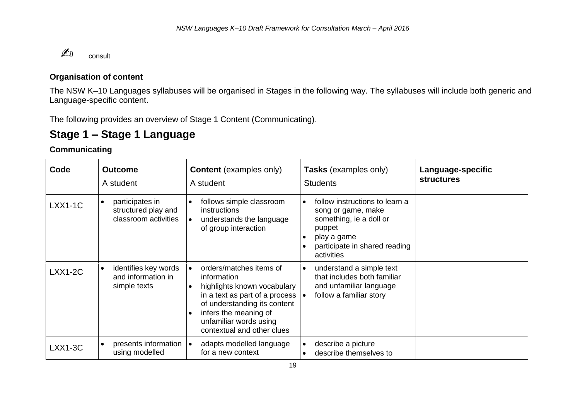

#### **Organisation of content**

The NSW K–10 Languages syllabuses will be organised in Stages in the following way. The syllabuses will include both generic and Language-specific content.

The following provides an overview of Stage 1 Content (Communicating).

# **Stage 1 – Stage 1 Language**

#### **Communicating**

| Code      | <b>Outcome</b><br>A student                                    | <b>Content</b> (examples only)<br>A student                                                                                                                                                                                                                     | Tasks (examples only)<br><b>Students</b>                                                                                                                | Language-specific<br><b>structures</b> |
|-----------|----------------------------------------------------------------|-----------------------------------------------------------------------------------------------------------------------------------------------------------------------------------------------------------------------------------------------------------------|---------------------------------------------------------------------------------------------------------------------------------------------------------|----------------------------------------|
| $LXX1-1C$ | participates in<br>structured play and<br>classroom activities | follows simple classroom<br>$\bullet$<br>instructions<br>understands the language<br>$\bullet$<br>of group interaction                                                                                                                                          | follow instructions to learn a<br>song or game, make<br>something, ie a doll or<br>puppet<br>play a game<br>participate in shared reading<br>activities |                                        |
| $LXX1-2C$ | identifies key words<br>and information in<br>simple texts     | orders/matches items of<br>$\bullet$<br>information<br>highlights known vocabulary<br>$\bullet$<br>in a text as part of a process<br>of understanding its content<br>infers the meaning of<br>$\bullet$<br>unfamiliar words using<br>contextual and other clues | understand a simple text<br>$\bullet$<br>that includes both familiar<br>and unfamiliar language<br>follow a familiar story                              |                                        |
| $LXX1-3C$ | presents information<br>using modelled                         | adapts modelled language<br>for a new context                                                                                                                                                                                                                   | describe a picture<br>describe themselves to                                                                                                            |                                        |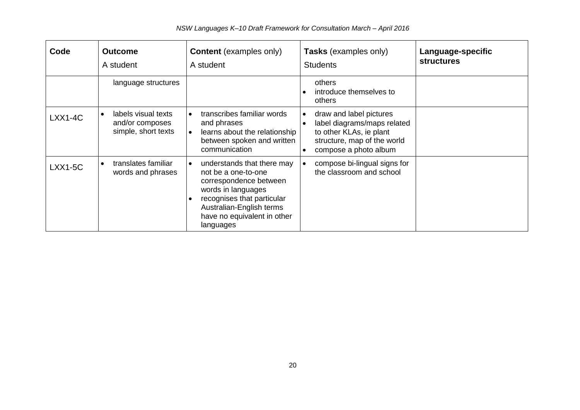| Code      | <b>Outcome</b><br>A student                                   | <b>Content</b> (examples only)<br>A student                                                                                                                                                                                | Tasks (examples only)<br><b>Students</b>                                                                                                                            | Language-specific<br><b>structures</b> |
|-----------|---------------------------------------------------------------|----------------------------------------------------------------------------------------------------------------------------------------------------------------------------------------------------------------------------|---------------------------------------------------------------------------------------------------------------------------------------------------------------------|----------------------------------------|
|           | language structures                                           |                                                                                                                                                                                                                            | others<br>introduce themselves to<br>others                                                                                                                         |                                        |
| $LXX1-4C$ | labels visual texts<br>and/or composes<br>simple, short texts | transcribes familiar words<br>$\bullet$<br>and phrases<br>learns about the relationship<br>I۰<br>between spoken and written<br>communication                                                                               | draw and label pictures<br>$\bullet$<br>label diagrams/maps related<br>$\bullet$<br>to other KLAs, ie plant<br>structure, map of the world<br>compose a photo album |                                        |
| LXX1-5C   | translates familiar<br>$\bullet$<br>words and phrases         | understands that there may<br>∣∙<br>not be a one-to-one<br>correspondence between<br>words in languages<br>recognises that particular<br>$\bullet$<br>Australian-English terms<br>have no equivalent in other<br>languages | compose bi-lingual signs for<br>the classroom and school                                                                                                            |                                        |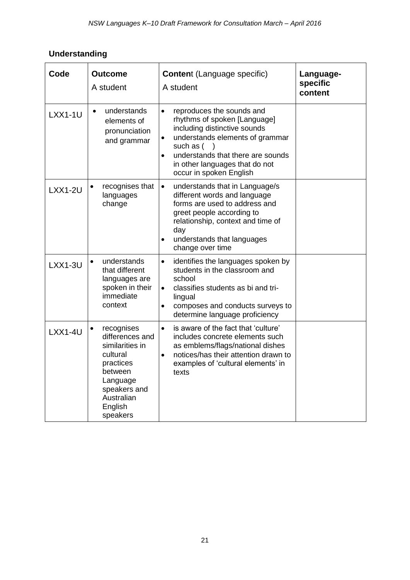# **Understanding**

| Code      | <b>Outcome</b><br>A student                                                                                                                                        | <b>Content (Language specific)</b><br>A student                                                                                                                                                                                                                                    | Language-<br>specific<br>content |
|-----------|--------------------------------------------------------------------------------------------------------------------------------------------------------------------|------------------------------------------------------------------------------------------------------------------------------------------------------------------------------------------------------------------------------------------------------------------------------------|----------------------------------|
| $LXX1-1U$ | understands<br>$\bullet$<br>elements of<br>pronunciation<br>and grammar                                                                                            | reproduces the sounds and<br>$\bullet$<br>rhythms of spoken [Language]<br>including distinctive sounds<br>understands elements of grammar<br>$\bullet$<br>such as (<br>understands that there are sounds<br>$\bullet$<br>in other languages that do not<br>occur in spoken English |                                  |
| $LXX1-2U$ | recognises that<br>languages<br>change                                                                                                                             | understands that in Language/s<br>$\bullet$<br>different words and language<br>forms are used to address and<br>greet people according to<br>relationship, context and time of<br>day<br>understands that languages<br>$\bullet$<br>change over time                               |                                  |
| $LXX1-3U$ | understands<br>that different<br>languages are<br>spoken in their<br>immediate<br>context                                                                          | identifies the languages spoken by<br>$\bullet$<br>students in the classroom and<br>school<br>classifies students as bi and tri-<br>$\bullet$<br>lingual<br>composes and conducts surveys to<br>$\bullet$<br>determine language proficiency                                        |                                  |
| $LXX1-4U$ | recognises<br>$\bullet$<br>differences and<br>similarities in<br>cultural<br>practices<br>between<br>Language<br>speakers and<br>Australian<br>English<br>speakers | is aware of the fact that 'culture'<br>$\bullet$<br>includes concrete elements such<br>as emblems/flags/national dishes<br>notices/has their attention drawn to<br>$\bullet$<br>examples of 'cultural elements' in<br>texts                                                        |                                  |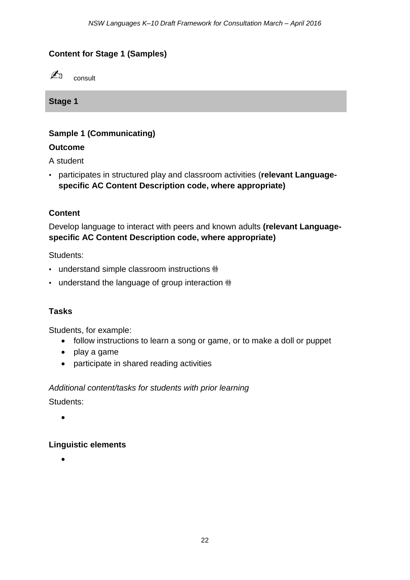### **Content for Stage 1 (Samples)**



**Stage 1**

### **Sample 1 (Communicating)**

### **Outcome**

A student

• participates in structured play and classroom activities (**relevant Languagespecific AC Content Description code, where appropriate)**

### **Content**

Develop language to interact with peers and known adults **(relevant Languagespecific AC Content Description code, where appropriate)**

Students:

- understand simple classroom instructions  $\dot{m}$
- understand the language of group interaction  $\mathbf{m}$

### **Tasks**

Students, for example:

- follow instructions to learn a song or game, or to make a doll or puppet
- play a game
- participate in shared reading activities

*Additional content/tasks for students with prior learning* Students:

 $\bullet$ 

### **Linguistic elements**

 $\bullet$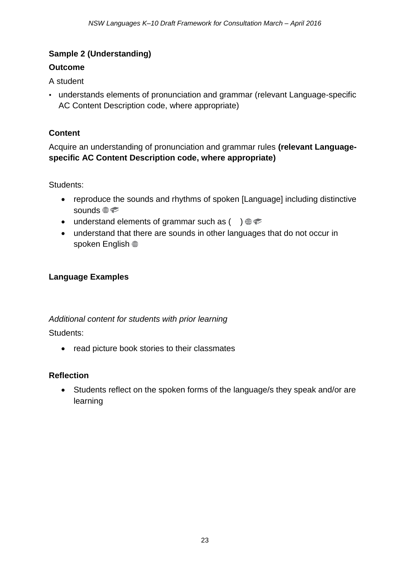### **Sample 2 (Understanding)**

### **Outcome**

A student

• understands elements of pronunciation and grammar (relevant Language-specific AC Content Description code, where appropriate)

### **Content**

Acquire an understanding of pronunciation and grammar rules **(relevant Languagespecific AC Content Description code, where appropriate)**

Students:

- reproduce the sounds and rhythms of spoken [Language] including distinctive sounds  $\circledast \circledast$
- understand elements of grammar such as  $( ) \oplus \infty$
- understand that there are sounds in other languages that do not occur in spoken English <sup>®</sup>

### **Language Examples**

### *Additional content for students with prior learning*

Students:

• read picture book stories to their classmates

### **Reflection**

 Students reflect on the spoken forms of the language/s they speak and/or are learning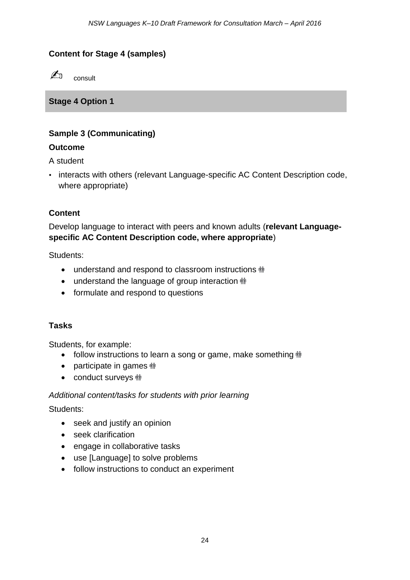### **Content for Stage 4 (samples)**



**Stage 4 Option 1** 

### **Sample 3 (Communicating)**

### **Outcome**

A student

• interacts with others (relevant Language-specific AC Content Description code, where appropriate)

### **Content**

Develop language to interact with peers and known adults (**relevant Languagespecific AC Content Description code, where appropriate**)

Students:

- understand and respond to classroom instructions  $\dot{m}$
- understand the language of group interaction  $\dot{m}$
- formulate and respond to questions

### **Tasks**

Students, for example:

- follow instructions to learn a song or game, make something  $\dot{m}$
- participate in games  $\dot{m}$
- conduct surveys  $\dot{m}$

#### *Additional content/tasks for students with prior learning*

Students:

- seek and justify an opinion
- seek clarification
- engage in collaborative tasks
- use [Language] to solve problems
- follow instructions to conduct an experiment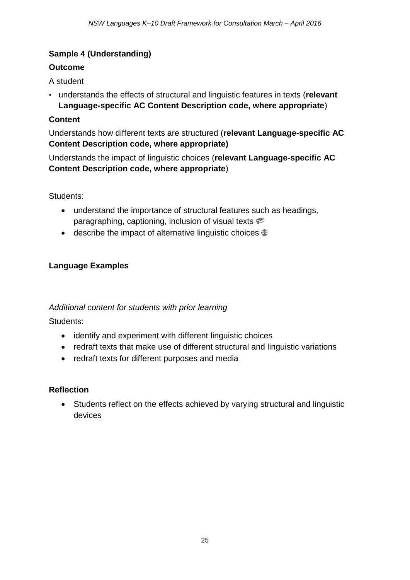### **Sample 4 (Understanding)**

### **Outcome**

A student

• understands the effects of structural and linguistic features in texts (**relevant Language-specific AC Content Description code, where appropriate**)

### **Content**

Understands how different texts are structured (**relevant Language-specific AC Content Description code, where appropriate)**

Understands the impact of linguistic choices (**relevant Language-specific AC Content Description code, where appropriate**)

Students:

- understand the importance of structural features such as headings, paragraphing, captioning, inclusion of visual texts
- $\bullet$  describe the impact of alternative linguistic choices  $\circledast$

### **Language Examples**

### *Additional content for students with prior learning*

Students:

- identify and experiment with different linguistic choices
- redraft texts that make use of different structural and linguistic variations
- redraft texts for different purposes and media

### **Reflection**

 Students reflect on the effects achieved by varying structural and linguistic devices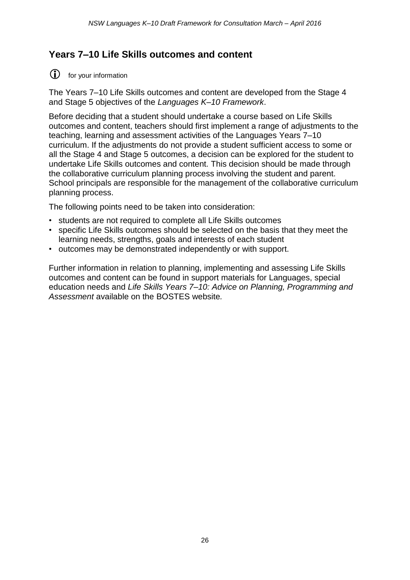### **Years 7–10 Life Skills outcomes and content**

for your information

The Years 7–10 Life Skills outcomes and content are developed from the Stage 4 and Stage 5 objectives of the *Languages K–10 Framework*.

Before deciding that a student should undertake a course based on Life Skills outcomes and content, teachers should first implement a range of adjustments to the teaching, learning and assessment activities of the Languages Years 7–10 curriculum. If the adjustments do not provide a student sufficient access to some or all the Stage 4 and Stage 5 outcomes, a decision can be explored for the student to undertake Life Skills outcomes and content. This decision should be made through the collaborative curriculum planning process involving the student and parent. School principals are responsible for the management of the collaborative curriculum planning process.

The following points need to be taken into consideration:

- students are not required to complete all Life Skills outcomes
- specific Life Skills outcomes should be selected on the basis that they meet the learning needs, strengths, goals and interests of each student
- outcomes may be demonstrated independently or with support.

Further information in relation to planning, implementing and assessing Life Skills outcomes and content can be found in support materials for Languages, special education needs and *Life Skills Years 7–10: Advice on Planning, Programming and Assessment* available on the BOSTES website*.*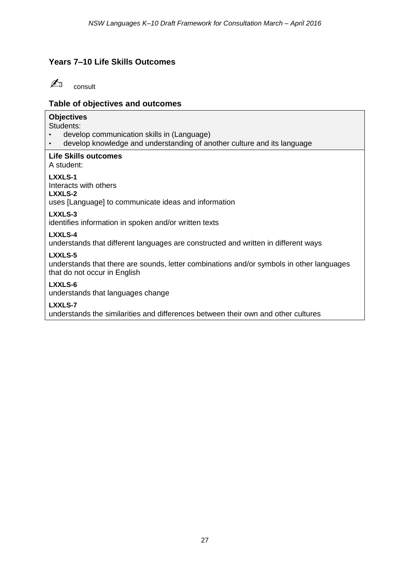### **Years 7–10 Life Skills Outcomes**



### **Table of objectives and outcomes**

#### **Objectives**

Students:

- develop communication skills in (Language)
- develop knowledge and understanding of another culture and its language

#### **Life Skills outcomes**

A student:

#### **LXXLS-1**

Interacts with others

#### **LXXLS-2**

uses [Language] to communicate ideas and information

#### **LXXLS-3**

identifies information in spoken and/or written texts

#### **LXXLS-4**

understands that different languages are constructed and written in different ways

#### **LXXLS-5**

understands that there are sounds, letter combinations and/or symbols in other languages that do not occur in English

#### **LXXLS-6**

understands that languages change

#### **LXXLS-7**

understands the similarities and differences between their own and other cultures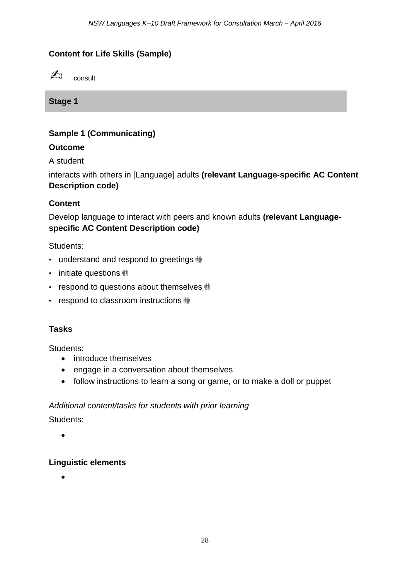### **Content for Life Skills (Sample)**



**Stage 1**

### **Sample 1 (Communicating)**

### **Outcome**

A student

interacts with others in [Language] adults **(relevant Language-specific AC Content Description code)**

### **Content**

Develop language to interact with peers and known adults **(relevant Languagespecific AC Content Description code)**

Students:

- understand and respond to greetings  $\dot{m}$
- initiate questions  $\dot{m}$
- respond to questions about themselves  $\dot{m}$
- respond to classroom instructions  $\dot{m}$

### **Tasks**

Students:

- introduce themselves
- engage in a conversation about themselves
- follow instructions to learn a song or game, or to make a doll or puppet

### *Additional content/tasks for students with prior learning*

Students:

 $\bullet$ 

#### **Linguistic elements**

 $\bullet$